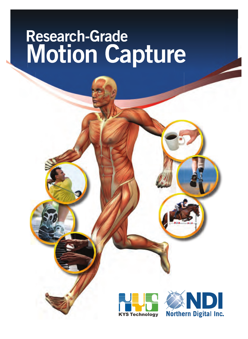### **Research-Grade Research-G**<br>Motion **Capture Research-Grade Motion Capture**



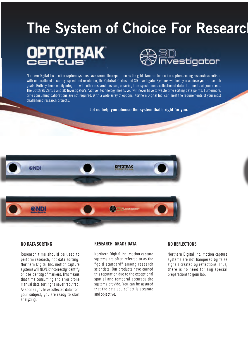### **The System of Choice For Resear OPTOTRAK** ි∐<br>∩vestigator

Northern Digital Inc. motion capture systems have earned the reputation as the gold standard for motion capture among research scientists. With unparalleled accuracy, speed and resolution, the Optotrak Certus and 3D Investigator Systems will help you achieve your re search goals. Both systems easily integrate with other research devices, ensuring true-synchronous collection of data that meets all your needs. The Optotrak Certus and 3D Investigator's "active" technology means you will never have to waste time sorting data points. Furthermore, time consuming calibrations are not required. With a wide array of options, Northern Digital Inc. can meet the requirements of your most challenging research projects.

**Let us help you choose the system that's right for you.**



#### **NO DATA SORTING**

Research time should be used to perform research, not data sorting! Northern Digital Inc. motion capture systems will NEVER incorrectly identify or lose identity of markers. This means that time consuming and error prone manual data sorting is never required. As soon as you have collected data from your subject, you are ready to start analyzing.

#### **RESEARCH-GRADE DATA**

Northern Digital Inc. motion capture systems are often referred to as the "gold standard" among research scientists. Our products have earned this reputation due to the exceptional spatial and temporal accuracy the systems provide. You can be assured that the data you collect is accurate and objective.

#### **NO REFLECTIONS**

Northern Digital Inc. motion capture systems are not hampered by false signals created by reflections. Thus, there is no need for any special preparations to your lab.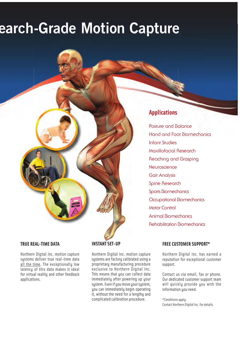### **earch-Grade Motion Capture**

#### **Applications**

Posture and Balance Hand and Foot Biomechanics Infant Studies Maxillofacial Research Reaching and Grasping **Neuroscience** Gait Analysis Spine Research Sports Biomechanics Occupational Biomechanics Motor Control Animal Biomechanics Rehabilitation Biomechanics

#### **TRUE REAL-TIME DATA**

Northern Digital Inc. motion capture systems deliver true real-time data all the time. The exceptionally low latency of this data makes it ideal for virtual reality and other feedback applications.

#### **INSTANT SET-UP**

Northern Digital Inc. motion capture systems are factory calibrated using a proprietary manufacturing procedure exclusive to Northern Digital Inc. This means that you can collect data immediately after powering up your system. Even if you move your system, you can immediately begin operating it, without the need for a lengthy and complicated calibration procedure.

#### EAL-TIME DATA INSTANT SET-UP FREE CUSTOMER SUPPORT\*

Northern Digital Inc. has earned a reputation for exceptional customer support.

Contact us via email, fax or phone. Our dedicated customer support team will quickly provide you with the information you need.

\*Conditions apply. Contact Northern Digital Inc. for details.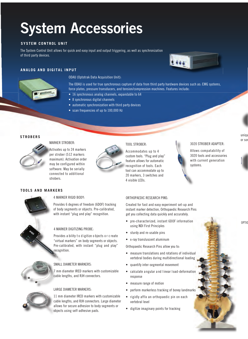### **System Accessories**

#### **SYSTEM CONTROL UNIT**

The System Control Unit allows for quick and easy input and output triggering, as well as synchronization of third party devices.

## $1000$

#### **ANALOG AND DIGITAL INPUT**

#### ODAU (Optotrak Data Acquisition Unit):

The ODAU is used for true synchronous capture of data from third party hardware devices such as: EMG systems, force plates, pressure transducers, and tension/compression machines. Features include:

- 16 synchronous analog channels, expandable to 64
- 8 synchronous digital channels
- automatic synchronization with third party devices
- scan frequencies of up to 100,000 Hz

#### **STROBERS**



#### MARKER STROBER:

Activates up to 24 markers per strober (512 markers maximum). Activation order may be configured within software. May be serially connected to additional strobers.



#### TOOL STROBER:

Accommodates up to 4 custom tools. "Plug and play" feature allows for automatic recognition of tools. Each tool can accommodate up to 20 markers, 3 switches and 4 visible LEDs.

#### 3020 STROBER ADAPTER:

Allows compatability of 3020 tools and accessories with current generation systems.

#### **TOOLS AND MARKERS**



#### 4 MARKER RIGID BODY:

Provides 6 degrees of freedom (6DOF) tracking of body segments or objects. Pre-calibrated, with instant "plug and play" recognition.

#### 4 MARKER DIGITIZING PROBE:

Provides a bility t o d igitize o bjects o r c reate "virtual markers" on body segments or objects. Pre-calibrated, with instant "plug and play" recognition.



#### SMALL DIAMETER MARKERS:

7 mm diameter IRED markers with customizable cable lengths, and RJH connectors.

#### LARGE DIAMETER MARKERS:

11 mm diameter IRED markers with customizable cable lengths, and RJH connectors. Large diameter allows for secure adhesion to body segments or objects using self-adhesive pads.

#### ORTHOPAEDIC RESEARCH PINS:

Created for fast and easy experiment set-up and instant marker detection, Orthopaedic Research Pins get you collecting data quickly and accurately.

- pre-characterized, instant 6DOF information using NDI First Principles
- sturdy and re-usable pins
- x-ray transluscent aluminum

Orthopaedic Research Pins allow you to:

- measure translations and rotations of individual vertebral bodies during multidirectional loading
- quantify inter-segmental movement
- calculate a ngular a nd l inear l oad-deformation response
- measure range of motion
- perform markerless tracking of boney landmarks
- rigidly affix an orthopaedic pin on each vertebral level
- digitize imaginary points for tracking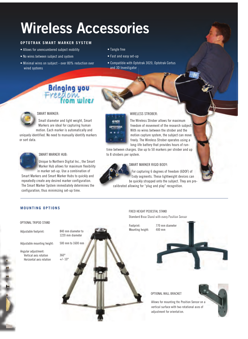### **Wireless Accessories**

#### **OPTOTRAK SMART MARKER SYSTEM**

- Allows for unencumbered subject mobility
- No wires between subject and system
- Minimal wires on subject over 80% reduction over wired systems
- Tangle free

**CND** OPTOTRAK

- Fast and easy set-up
- Compatible with Optotrak 3020, Optotrak Certus and 3D Investigator





#### SMART MARKER:

Small diameter and light weight, Smart Markers are ideal for capturing human

motion. Each marker is automatically and uniquely identified. No need to manually identify markers or sort data.



#### SMART MARKER HUB: S

Unique to Northern Digital Inc., the Smart U Marker Hub allows for maximum flexibility M in marker set-up. Use a combination of in

Smart Markers and Smart Marker Hubs to quickly and repeatedly create any desired marker configuration. The Smart Marker System immediately determines the configuration, thus minimizing set-up time.

#### WIRELESS STROBER:

The Wireless Strober allows for maximum freedom of movement of the research subject. With no wires between the strober and the motion capture system, the subject can move freely. The Wireless Strober operates using a long-life battery that provides hours of run-

time between charges. Use up to 50 markers per strober and up to 8 strobers per system.



#### SMART MARKER RIGID BODY: SM

MART MARKER RIGID BODY:<br>For capturing 6 degrees of freedom (6DOF) of body segments. These lightweight devices can b be quickly strapped onto the subject. They are pre-be calibrated allowing for "plug and play" recognition.

#### **MOUNTING OPTIONS**

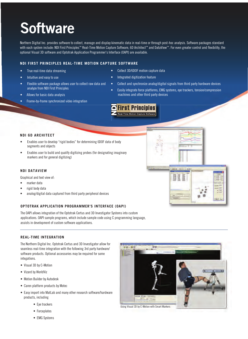### **Software**

Northern Digital Inc. provides software to collect, manage and display kinematic data in real-time or through post-hoc analysis. Software packages standard with each system include: NDI First Principles™ Real-Time Motion Capture Software, 6D Architect™ and DataView™. For even greater control and flexibility, the optional Visual 3D software and Optotrak Application Programmer's Interface (OAPI) are available.

#### **NDI FIRST PRINCIPLES REAL-TIME MOTION CAPTURE SOFTWARE**

- True real-time data streaming
- Intuitive and easy to use
- Flexible software package allows user to collect raw data and analyze from NDI First Principles
- Allows for basic data analysis
- Frame-by-frame synchronized video integration
- Collect 3D/6DOF motion capture data
- Integrated digitization feature
- Collect and synchronize analog/digital signals from third party hardware devices
- Easily integrate force platforms, EMG systems, eye trackers, tension/compression machines and other third party devices



#### **NDI 6D ARCHITECT**

- Enables user to develop "rigid bodies" for determining 6DOF data of body segments and objects
- Enables user to build and qualify digitizing probes (for designating imaginary markers and for general digitizing)

#### **NDI DATAVIEW**

Graphical and text view of:

- marker data
- rigid body data
- analog/digital data captured from third party peripheral devices

#### **OPTOTRAK APPLICATION PROGRAMMER'S INTERFACE (OAPI)**

The OAPI allows integration of the Optotrak Certus and 3D Investigator Systems into custom applications. OAPI sample programs, which include sample code using C programming language, assists in development of custom software applications.

#### **REAL-TIME INTEGRATION**

The Northern Digital Inc. Optotrak Certus and 3D Investigator allow for seamless real-time integration with the following 3rd party hardware/ software products. Optional accessories may be required for some integations.

- Visual 3D by C-Motion
- Vizard by WorldViz
- Motion Builder by Autodesk
- Caren platform products by Motec
- Easy import into MatLab and many other research software/hardware products, including
	- Eye trackers
	- Forceplates
	- EMG Systems



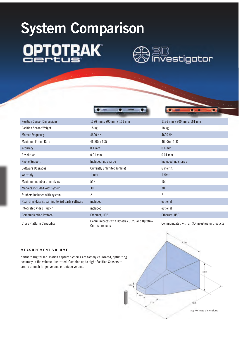# **System Comparison DPTOTRAK**



| <b>Position Sensor Dimensions</b>                                                                                                                              | 1126 mm x 200 mm x 161 mm                                       | 1126 mm x 200 mm x 161 mm                      |
|----------------------------------------------------------------------------------------------------------------------------------------------------------------|-----------------------------------------------------------------|------------------------------------------------|
| <b>Position Sensor Weight</b>                                                                                                                                  | 18 kg                                                           | $18$ kg                                        |
| <b>Marker Frequency</b>                                                                                                                                        | 4600 Hz                                                         | 4600 Hz                                        |
| Maximum Frame Rate                                                                                                                                             | $4600(n+1.3)$                                                   | $4600(n+1.3)$                                  |
| Accuracy                                                                                                                                                       | $0.1$ mm                                                        | $0.4$ mm                                       |
| Resolution                                                                                                                                                     | $0.01$ mm                                                       | $0.01$ mm                                      |
| <b>Phone Support</b>                                                                                                                                           | Included, no charge                                             | Included, no charge                            |
| Software Upgrades                                                                                                                                              | Currently unlimited (online)                                    | 6 months                                       |
| Warranty                                                                                                                                                       | 1 Year                                                          | 1 Year                                         |
| Maximum number of markers                                                                                                                                      | 512                                                             | 150                                            |
| Markers included with system                                                                                                                                   | 30                                                              | 30                                             |
| Strobers included with system                                                                                                                                  | $\overline{c}$                                                  | $\overline{2}$                                 |
| Real-time data streaming to 3rd party software                                                                                                                 | included                                                        | optional                                       |
| Integrated Video Plug-in                                                                                                                                       | included                                                        | optional                                       |
| <b>Communication Protocol</b>                                                                                                                                  | Ethernet, USB                                                   | Ethernet, USB                                  |
| <b>Cross Platform Capability</b>                                                                                                                               | Communicates with Optotrak 3020 and Optotrak<br>Certus products | Communicates with all 3D Investigator products |
| <b>MEASUREMENT VOLUME</b>                                                                                                                                      |                                                                 | 42n                                            |
| Northern Digital Inc. motion capture systems are factory calibrated, optimizing<br>accuracy in the volume illustrated. Combine up to eight Position Sensors to |                                                                 |                                                |

#### **MEASUREMENT VOLUME**

Northern Digital Inc. motion capture systems are factory calibrated, optimizing mizing accuracy in the volume illustrated. Combine up to eight Position Sensors to create a much larger volume or unique volume.